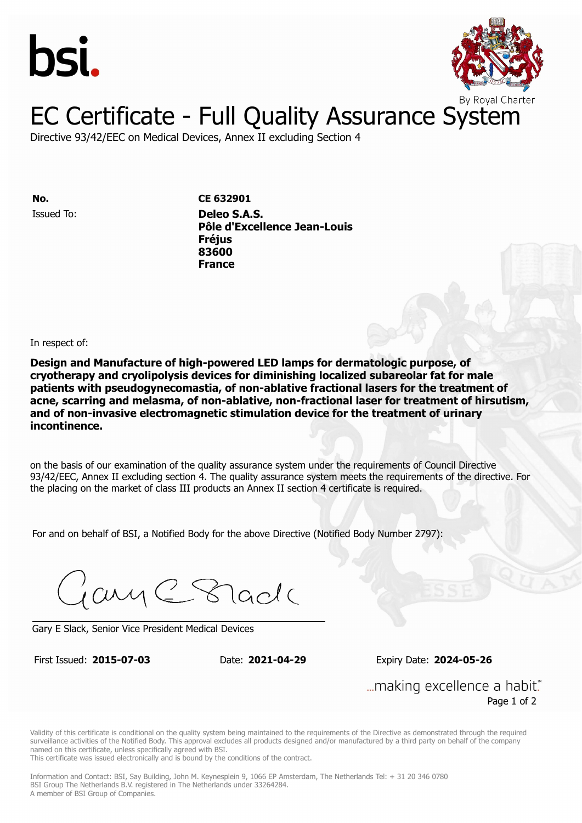



## EC Certificate - Full Quality Assurance System

Directive 93/42/EEC on Medical Devices, Annex II excluding Section 4

**ISSUED TO: DELECTE STATE CE 632901** 

**Pôle d'Excellence Jean-Louis** Issued To: **Deleo S.A.S. 83600 Pôle d'Excellence Jean-Louis France Fréjus 83600 France**

In respect of:

**Design and Manufacture of high-powered LED lamps for dermatologic purpose, of cryotherapy and cryolipolysis devices for diminishing localized subareolar fat for male patients with pseudogynecomastia, of non-ablative fractional lasers for the treatment of acne, scarring and melasma, of non-ablative, non-fractional laser for treatment of hirsutism, and of non-invasive electromagnetic stimulation device for the treatment of urinary incontinence.**

on the basis of our examination of the quality assurance system under the requirements of Council Directive 93/42/EEC, Annex II excluding section 4. The quality assurance system meets the requirements of the directive. For the placing on the market of class III products an Annex II section 4 certificate is required.

For and on behalf of BSI, a Notified Body for the above Directive (Notified Body Number 2797):

Gary C Stade

Gary E Slack, Senior Vice President Medical Devices

First Issued: **2015-07-03** Date: **2021-04-29** Expiry Date: **2024-05-26**

First Issued: **2015-07-03** Date: **2021-04-29** Expiry Date: **2024-05-26**

... making excellence a habit." Page 1 of 2

Validity of this certificate is conditional on the quality system being maintained to the requirements of the Directive as demonstrated through the required surveillance activities of the Notified Body. This approval excludes all products designed and/or manufactured by a third party on behalf of the company named on this certificate, unless specifically agreed with BSI.

This certificate was issued electronically and is bound by the conditions of the contract.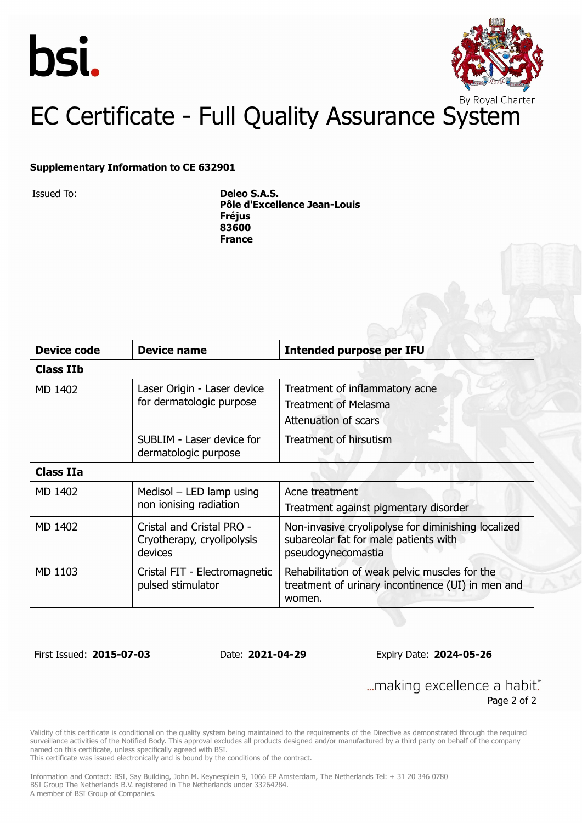



## EC Certificate - Full Quality Assurance System

#### **Supplementary Information to CE 632901**

Issued To: **Deleo S.A.S. Pôle d'Excellence Jean-Louis Fréjus 83600 France**

| <b>Device code</b> | <b>Device name</b>                                                 | <b>Intended purpose per IFU</b>                                                                                    |  |  |
|--------------------|--------------------------------------------------------------------|--------------------------------------------------------------------------------------------------------------------|--|--|
| <b>Class IIb</b>   |                                                                    |                                                                                                                    |  |  |
| MD 1402            | Laser Origin - Laser device<br>for dermatologic purpose            | Treatment of inflammatory acne<br><b>Treatment of Melasma</b><br>Attenuation of scars                              |  |  |
|                    | SUBLIM - Laser device for<br>dermatologic purpose                  | Treatment of hirsutism                                                                                             |  |  |
| <b>Class IIa</b>   |                                                                    |                                                                                                                    |  |  |
| MD 1402            | Medisol $-$ LED lamp using<br>non ionising radiation               | Acne treatment<br>Treatment against pigmentary disorder                                                            |  |  |
| MD 1402            | Cristal and Cristal PRO -<br>Cryotherapy, cryolipolysis<br>devices | Non-invasive cryolipolyse for diminishing localized<br>subareolar fat for male patients with<br>pseudogynecomastia |  |  |
| MD 1103            | Cristal FIT - Electromagnetic<br>pulsed stimulator                 | Rehabilitation of weak pelvic muscles for the<br>treatment of urinary incontinence (UI) in men and<br>women.       |  |  |

First Issued: **2015-07-03** Date: **2021-04-29** Expiry Date: **2024-05-26**

... making excellence a habit." Page 2 of 2

Validity of this certificate is conditional on the quality system being maintained to the requirements of the Directive as demonstrated through the required surveillance activities of the Notified Body. This approval excludes all products designed and/or manufactured by a third party on behalf of the company named on this certificate, unless specifically agreed with BSI.

This certificate was issued electronically and is bound by the conditions of the contract.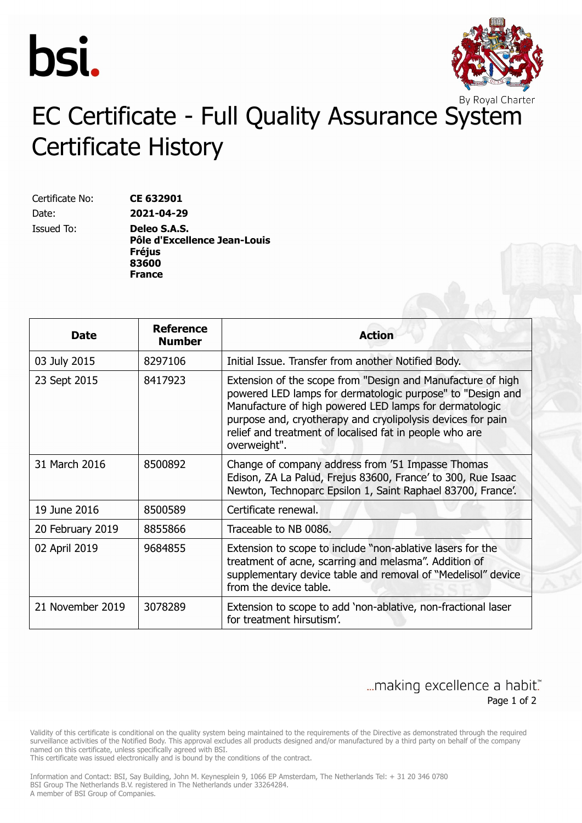



# EC Certificate - Full Quality Assurance System Certificate History

Certificate No: **CE 632901** Date: **2021-04-29**

Issued To: **Deleo S.A.S. Pôle d'Excellence Jean-Louis Fréjus 83600 France**

| <b>Date</b>      | <b>Reference</b><br><b>Number</b> | <b>Action</b>                                                                                                                                                                                                                                                                                                                 |
|------------------|-----------------------------------|-------------------------------------------------------------------------------------------------------------------------------------------------------------------------------------------------------------------------------------------------------------------------------------------------------------------------------|
| 03 July 2015     | 8297106                           | Initial Issue. Transfer from another Notified Body.                                                                                                                                                                                                                                                                           |
| 23 Sept 2015     | 8417923                           | Extension of the scope from "Design and Manufacture of high<br>powered LED lamps for dermatologic purpose" to "Design and<br>Manufacture of high powered LED lamps for dermatologic<br>purpose and, cryotherapy and cryolipolysis devices for pain<br>relief and treatment of localised fat in people who are<br>overweight". |
| 31 March 2016    | 8500892                           | Change of company address from '51 Impasse Thomas<br>Edison, ZA La Palud, Frejus 83600, France' to 300, Rue Isaac<br>Newton, Technoparc Epsilon 1, Saint Raphael 83700, France'.                                                                                                                                              |
| 19 June 2016     | 8500589                           | Certificate renewal.                                                                                                                                                                                                                                                                                                          |
| 20 February 2019 | 8855866                           | Traceable to NB 0086.                                                                                                                                                                                                                                                                                                         |
| 02 April 2019    | 9684855                           | Extension to scope to include "non-ablative lasers for the<br>treatment of acne, scarring and melasma". Addition of<br>supplementary device table and removal of "Medelisol" device<br>from the device table.                                                                                                                 |
| 21 November 2019 | 3078289                           | Extension to scope to add 'non-ablative, non-fractional laser<br>for treatment hirsutism'.                                                                                                                                                                                                                                    |

### ... making excellence a habit." Page 1 of 2

Validity of this certificate is conditional on the quality system being maintained to the requirements of the Directive as demonstrated through the required surveillance activities of the Notified Body. This approval excludes all products designed and/or manufactured by a third party on behalf of the company named on this certificate, unless specifically agreed with BSI.

This certificate was issued electronically and is bound by the conditions of the contract.